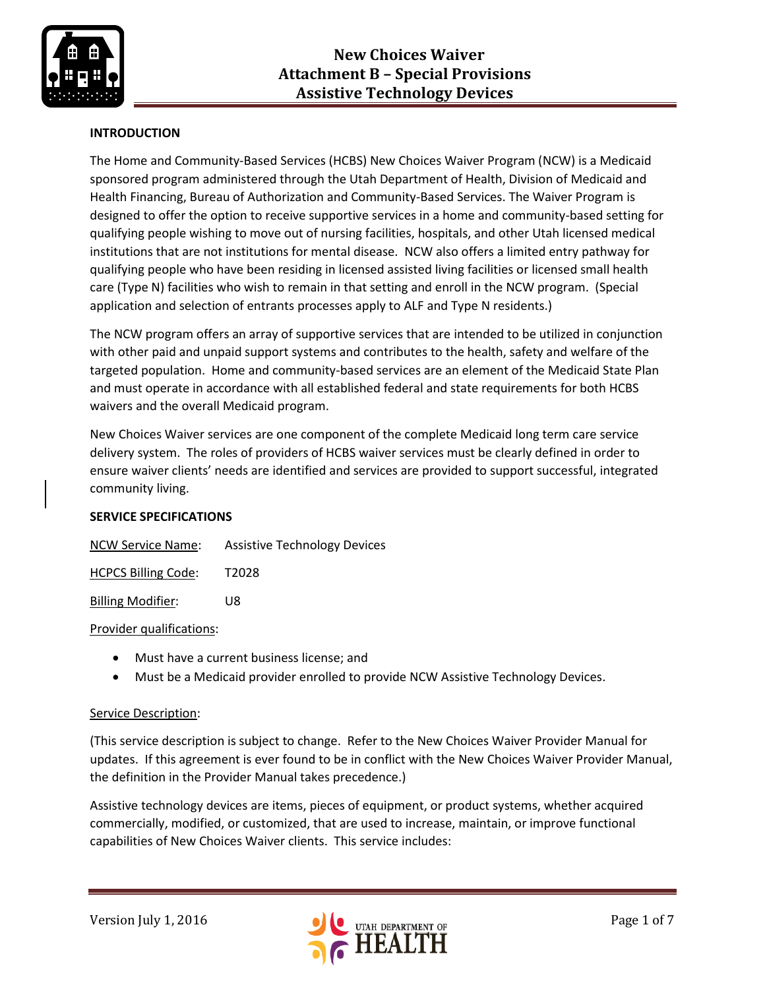

### **INTRODUCTION**

The Home and Community-Based Services (HCBS) New Choices Waiver Program (NCW) is a Medicaid sponsored program administered through the Utah Department of Health, Division of Medicaid and Health Financing, Bureau of Authorization and Community-Based Services. The Waiver Program is designed to offer the option to receive supportive services in a home and community-based setting for qualifying people wishing to move out of nursing facilities, hospitals, and other Utah licensed medical institutions that are not institutions for mental disease. NCW also offers a limited entry pathway for qualifying people who have been residing in licensed assisted living facilities or licensed small health care (Type N) facilities who wish to remain in that setting and enroll in the NCW program. (Special application and selection of entrants processes apply to ALF and Type N residents.)

The NCW program offers an array of supportive services that are intended to be utilized in conjunction with other paid and unpaid support systems and contributes to the health, safety and welfare of the targeted population. Home and community-based services are an element of the Medicaid State Plan and must operate in accordance with all established federal and state requirements for both HCBS waivers and the overall Medicaid program.

New Choices Waiver services are one component of the complete Medicaid long term care service delivery system. The roles of providers of HCBS waiver services must be clearly defined in order to ensure waiver clients' needs are identified and services are provided to support successful, integrated community living.

### **SERVICE SPECIFICATIONS**

| <b>NCW Service Name:</b> | <b>Assistive Technology Devices</b> |
|--------------------------|-------------------------------------|
|--------------------------|-------------------------------------|

HCPCS Billing Code: T2028

Billing Modifier: U8

### Provider qualifications:

- Must have a current business license; and
- Must be a Medicaid provider enrolled to provide NCW Assistive Technology Devices.

### Service Description:

(This service description is subject to change. Refer to the New Choices Waiver Provider Manual for updates. If this agreement is ever found to be in conflict with the New Choices Waiver Provider Manual, the definition in the Provider Manual takes precedence.)

Assistive technology devices are items, pieces of equipment, or product systems, whether acquired commercially, modified, or customized, that are used to increase, maintain, or improve functional capabilities of New Choices Waiver clients. This service includes:

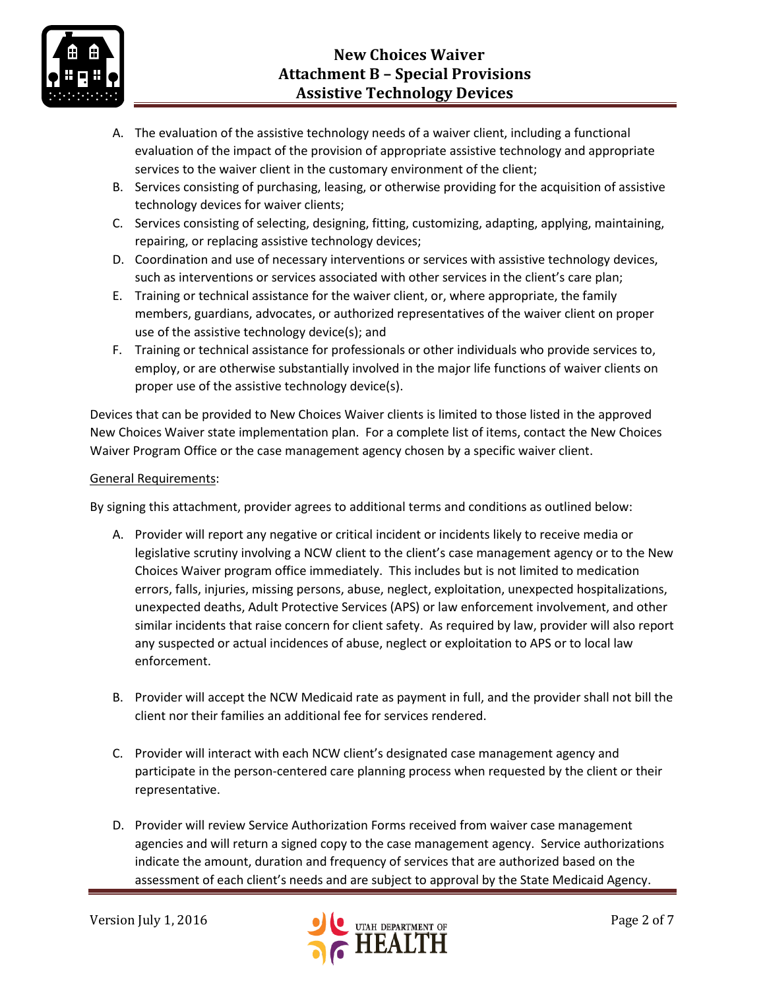

# **New Choices Waiver Attachment B – Special Provisions Assistive Technology Devices**

- A. The evaluation of the assistive technology needs of a waiver client, including a functional evaluation of the impact of the provision of appropriate assistive technology and appropriate services to the waiver client in the customary environment of the client;
- B. Services consisting of purchasing, leasing, or otherwise providing for the acquisition of assistive technology devices for waiver clients;
- C. Services consisting of selecting, designing, fitting, customizing, adapting, applying, maintaining, repairing, or replacing assistive technology devices;
- D. Coordination and use of necessary interventions or services with assistive technology devices, such as interventions or services associated with other services in the client's care plan;
- E. Training or technical assistance for the waiver client, or, where appropriate, the family members, guardians, advocates, or authorized representatives of the waiver client on proper use of the assistive technology device(s); and
- F. Training or technical assistance for professionals or other individuals who provide services to, employ, or are otherwise substantially involved in the major life functions of waiver clients on proper use of the assistive technology device(s).

Devices that can be provided to New Choices Waiver clients is limited to those listed in the approved New Choices Waiver state implementation plan. For a complete list of items, contact the New Choices Waiver Program Office or the case management agency chosen by a specific waiver client.

### General Requirements:

By signing this attachment, provider agrees to additional terms and conditions as outlined below:

- A. Provider will report any negative or critical incident or incidents likely to receive media or legislative scrutiny involving a NCW client to the client's case management agency or to the New Choices Waiver program office immediately. This includes but is not limited to medication errors, falls, injuries, missing persons, abuse, neglect, exploitation, unexpected hospitalizations, unexpected deaths, Adult Protective Services (APS) or law enforcement involvement, and other similar incidents that raise concern for client safety. As required by law, provider will also report any suspected or actual incidences of abuse, neglect or exploitation to APS or to local law enforcement.
- B. Provider will accept the NCW Medicaid rate as payment in full, and the provider shall not bill the client nor their families an additional fee for services rendered.
- C. Provider will interact with each NCW client's designated case management agency and participate in the person-centered care planning process when requested by the client or their representative.
- D. Provider will review Service Authorization Forms received from waiver case management agencies and will return a signed copy to the case management agency. Service authorizations indicate the amount, duration and frequency of services that are authorized based on the assessment of each client's needs and are subject to approval by the State Medicaid Agency.

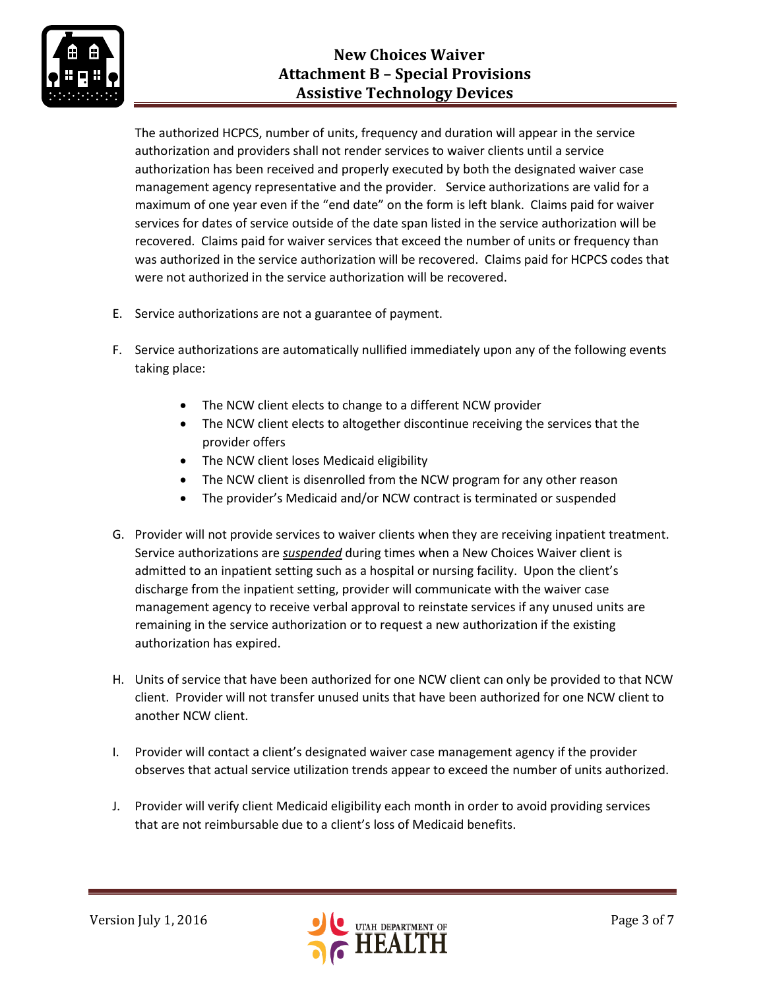

## **New Choices Waiver Attachment B – Special Provisions Assistive Technology Devices**

The authorized HCPCS, number of units, frequency and duration will appear in the service authorization and providers shall not render services to waiver clients until a service authorization has been received and properly executed by both the designated waiver case management agency representative and the provider. Service authorizations are valid for a maximum of one year even if the "end date" on the form is left blank. Claims paid for waiver services for dates of service outside of the date span listed in the service authorization will be recovered. Claims paid for waiver services that exceed the number of units or frequency than was authorized in the service authorization will be recovered. Claims paid for HCPCS codes that were not authorized in the service authorization will be recovered.

- E. Service authorizations are not a guarantee of payment.
- F. Service authorizations are automatically nullified immediately upon any of the following events taking place:
	- The NCW client elects to change to a different NCW provider
	- The NCW client elects to altogether discontinue receiving the services that the provider offers
	- The NCW client loses Medicaid eligibility
	- The NCW client is disenrolled from the NCW program for any other reason
	- The provider's Medicaid and/or NCW contract is terminated or suspended
- G. Provider will not provide services to waiver clients when they are receiving inpatient treatment. Service authorizations are *suspended* during times when a New Choices Waiver client is admitted to an inpatient setting such as a hospital or nursing facility. Upon the client's discharge from the inpatient setting, provider will communicate with the waiver case management agency to receive verbal approval to reinstate services if any unused units are remaining in the service authorization or to request a new authorization if the existing authorization has expired.
- H. Units of service that have been authorized for one NCW client can only be provided to that NCW client. Provider will not transfer unused units that have been authorized for one NCW client to another NCW client.
- I. Provider will contact a client's designated waiver case management agency if the provider observes that actual service utilization trends appear to exceed the number of units authorized.
- J. Provider will verify client Medicaid eligibility each month in order to avoid providing services that are not reimbursable due to a client's loss of Medicaid benefits.

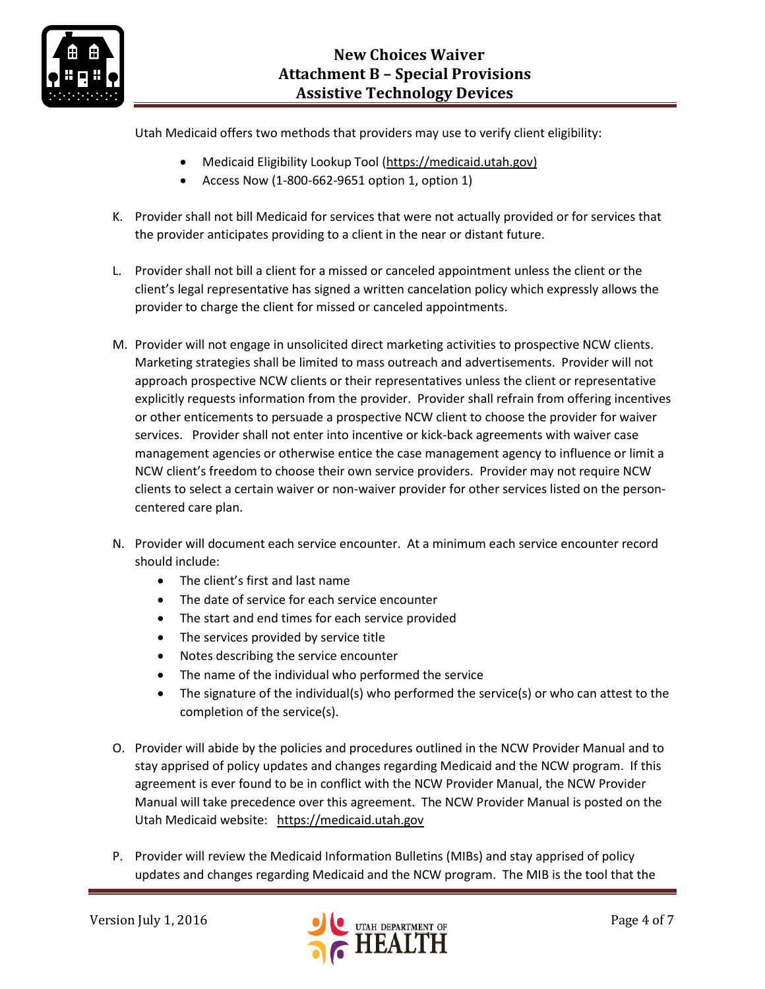

Utah Medicaid offers two methods that providers may use to verify client eligibility:

- Medicaid Eligibility Lookup Tool [\(https://medicaid.utah.gov\)](https://medicaid.utah.gov/)
- Access Now  $(1-800-662-9651$  option 1, option 1)
- K. Provider shall not bill Medicaid for services that were not actually provided or for services that the provider anticipates providing to a client in the near or distant future.
- L. Provider shall not bill a client for a missed or canceled appointment unless the client or the client's legal representative has signed a written cancelation policy which expressly allows the provider to charge the client for missed or canceled appointments.
- M. Provider will not engage in unsolicited direct marketing activities to prospective NCW clients. Marketing strategies shall be limited to mass outreach and advertisements. Provider will not approach prospective NCW clients or their representatives unless the client or representative explicitly requests information from the provider. Provider shall refrain from offering incentives or other enticements to persuade a prospective NCW client to choose the provider for waiver services. Provider shall not enter into incentive or kick-back agreements with waiver case management agencies or otherwise entice the case management agency to influence or limit a NCW client's freedom to choose their own service providers. Provider may not require NCW clients to select a certain waiver or non-waiver provider for other services listed on the personcentered care plan.
- N. Provider will document each service encounter. At a minimum each service encounter record should include:
	- The client's first and last name
	- The date of service for each service encounter
	- The start and end times for each service provided
	- The services provided by service title
	- Notes describing the service encounter
	- The name of the individual who performed the service
	- The signature of the individual(s) who performed the service(s) or who can attest to the completion of the service(s).
- O. Provider will abide by the policies and procedures outlined in the NCW Provider Manual and to stay apprised of policy updates and changes regarding Medicaid and the NCW program. If this agreement is ever found to be in conflict with the NCW Provider Manual, the NCW Provider Manual will take precedence over this agreement. The NCW Provider Manual is posted on the Utah Medicaid website: [https://medicaid.utah.gov](https://medicaid.utah.gov/)
- P. Provider will review the Medicaid Information Bulletins (MIBs) and stay apprised of policy updates and changes regarding Medicaid and the NCW program. The MIB is the tool that the

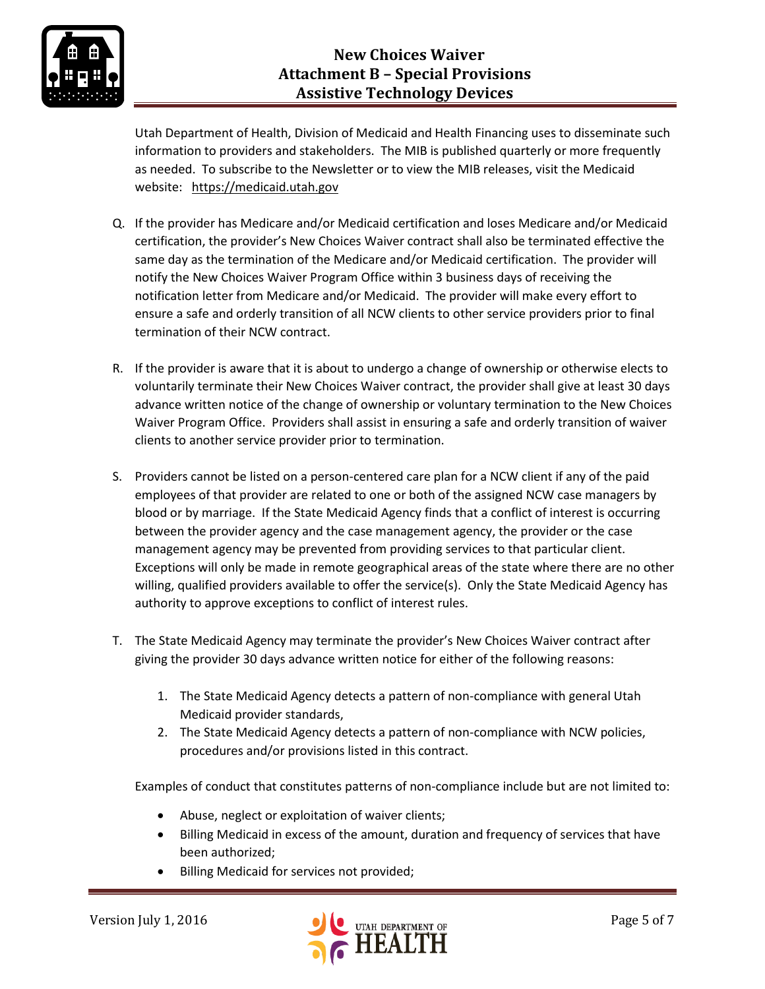

Utah Department of Health, Division of Medicaid and Health Financing uses to disseminate such information to providers and stakeholders. The MIB is published quarterly or more frequently as needed. To subscribe to the Newsletter or to view the MIB releases, visit the Medicaid website: [https://medicaid.utah.gov](https://medicaid.utah.gov/)

- Q. If the provider has Medicare and/or Medicaid certification and loses Medicare and/or Medicaid certification, the provider's New Choices Waiver contract shall also be terminated effective the same day as the termination of the Medicare and/or Medicaid certification. The provider will notify the New Choices Waiver Program Office within 3 business days of receiving the notification letter from Medicare and/or Medicaid. The provider will make every effort to ensure a safe and orderly transition of all NCW clients to other service providers prior to final termination of their NCW contract.
- R. If the provider is aware that it is about to undergo a change of ownership or otherwise elects to voluntarily terminate their New Choices Waiver contract, the provider shall give at least 30 days advance written notice of the change of ownership or voluntary termination to the New Choices Waiver Program Office. Providers shall assist in ensuring a safe and orderly transition of waiver clients to another service provider prior to termination.
- S. Providers cannot be listed on a person-centered care plan for a NCW client if any of the paid employees of that provider are related to one or both of the assigned NCW case managers by blood or by marriage. If the State Medicaid Agency finds that a conflict of interest is occurring between the provider agency and the case management agency, the provider or the case management agency may be prevented from providing services to that particular client. Exceptions will only be made in remote geographical areas of the state where there are no other willing, qualified providers available to offer the service(s). Only the State Medicaid Agency has authority to approve exceptions to conflict of interest rules.
- T. The State Medicaid Agency may terminate the provider's New Choices Waiver contract after giving the provider 30 days advance written notice for either of the following reasons:
	- 1. The State Medicaid Agency detects a pattern of non-compliance with general Utah Medicaid provider standards,
	- 2. The State Medicaid Agency detects a pattern of non-compliance with NCW policies, procedures and/or provisions listed in this contract.

Examples of conduct that constitutes patterns of non-compliance include but are not limited to:

- Abuse, neglect or exploitation of waiver clients;
- Billing Medicaid in excess of the amount, duration and frequency of services that have been authorized;
- Billing Medicaid for services not provided;

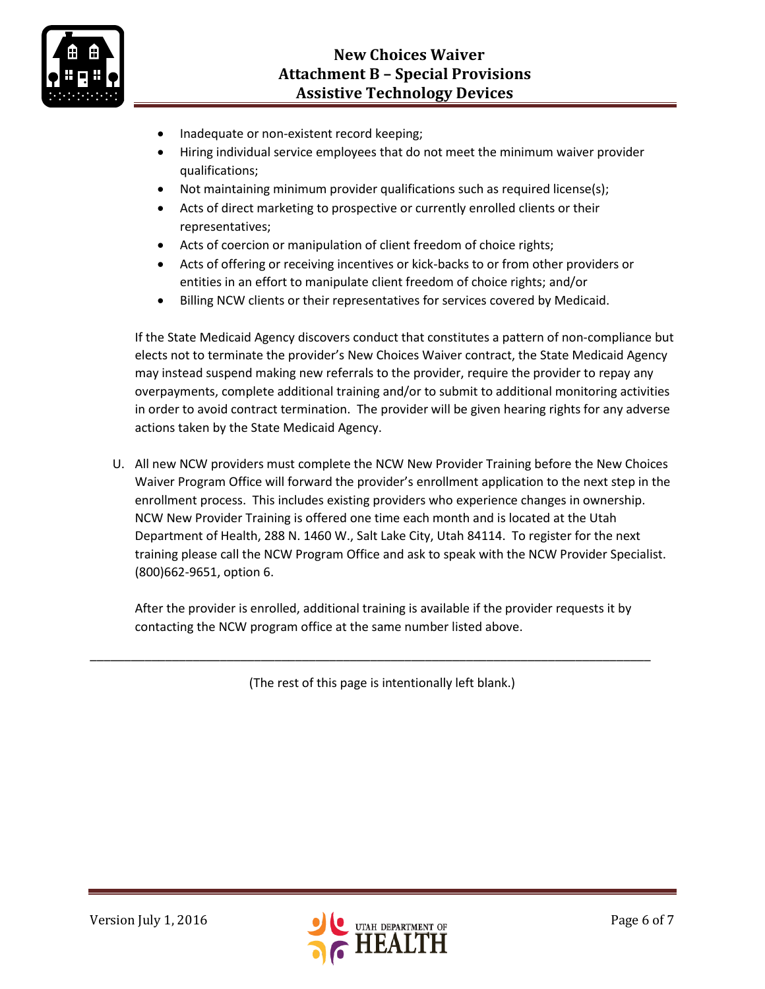

- Inadequate or non-existent record keeping;
- Hiring individual service employees that do not meet the minimum waiver provider qualifications;
- Not maintaining minimum provider qualifications such as required license(s);
- Acts of direct marketing to prospective or currently enrolled clients or their representatives;
- Acts of coercion or manipulation of client freedom of choice rights;
- Acts of offering or receiving incentives or kick-backs to or from other providers or entities in an effort to manipulate client freedom of choice rights; and/or
- Billing NCW clients or their representatives for services covered by Medicaid.

If the State Medicaid Agency discovers conduct that constitutes a pattern of non-compliance but elects not to terminate the provider's New Choices Waiver contract, the State Medicaid Agency may instead suspend making new referrals to the provider, require the provider to repay any overpayments, complete additional training and/or to submit to additional monitoring activities in order to avoid contract termination. The provider will be given hearing rights for any adverse actions taken by the State Medicaid Agency.

U. All new NCW providers must complete the NCW New Provider Training before the New Choices Waiver Program Office will forward the provider's enrollment application to the next step in the enrollment process. This includes existing providers who experience changes in ownership. NCW New Provider Training is offered one time each month and is located at the Utah Department of Health, 288 N. 1460 W., Salt Lake City, Utah 84114. To register for the next training please call the NCW Program Office and ask to speak with the NCW Provider Specialist. (800)662-9651, option 6.

After the provider is enrolled, additional training is available if the provider requests it by contacting the NCW program office at the same number listed above.

(The rest of this page is intentionally left blank.)

\_\_\_\_\_\_\_\_\_\_\_\_\_\_\_\_\_\_\_\_\_\_\_\_\_\_\_\_\_\_\_\_\_\_\_\_\_\_\_\_\_\_\_\_\_\_\_\_\_\_\_\_\_\_\_\_\_\_\_\_\_\_\_\_\_\_\_\_\_\_\_\_\_\_\_\_\_\_\_\_\_\_